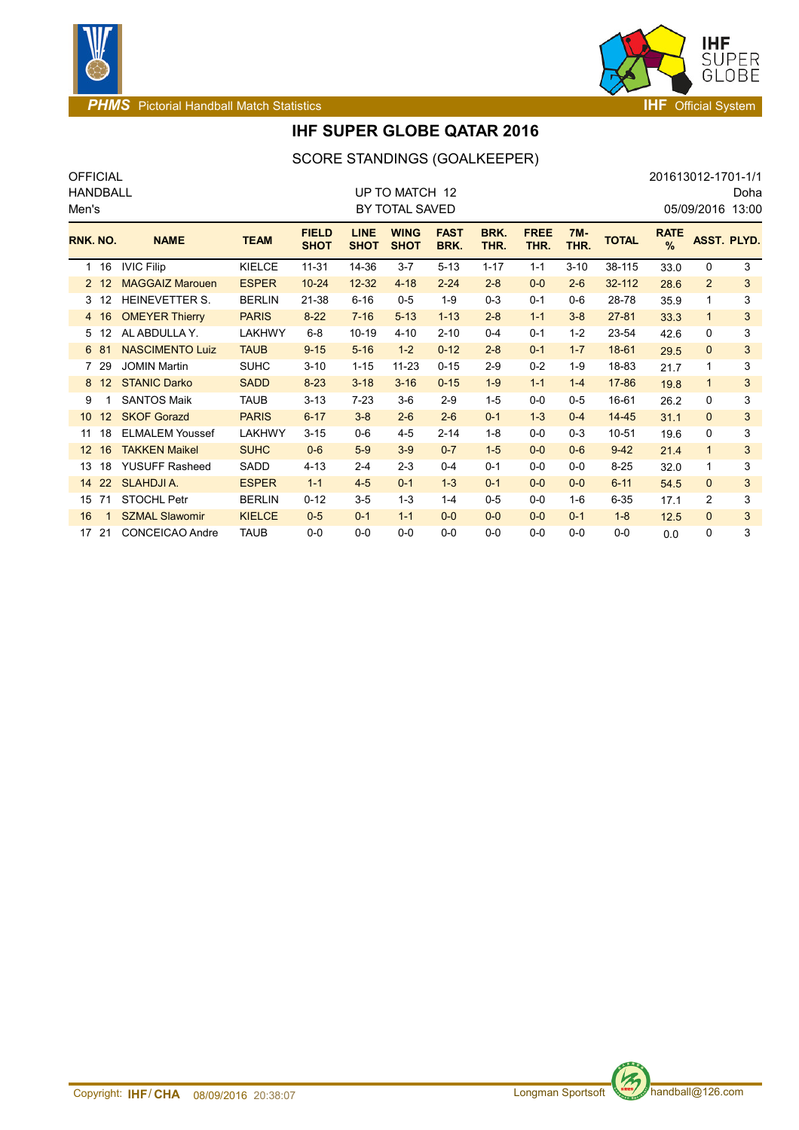



### **PHMS** Pictorial Handball Match Statistics **Internal Construction Construction IHF** Official System

# **IHF SUPER GLOBE QATAR 2016**

### SCORE STANDINGS (GOALKEEPER)

| <b>OFFICIAL</b><br><b>HANDBALL</b><br>Men's |                 |                        |               | UP TO MATCH 12<br>BY TOTAL SAVED |                            |                            |                     |              |                     | 201613012-1701-1/1<br>Doha<br>05/09/2016<br>13:00 |              |                              |                    |   |  |
|---------------------------------------------|-----------------|------------------------|---------------|----------------------------------|----------------------------|----------------------------|---------------------|--------------|---------------------|---------------------------------------------------|--------------|------------------------------|--------------------|---|--|
| RNK. NO.                                    |                 | <b>NAME</b>            | <b>TEAM</b>   | <b>FIELD</b><br><b>SHOT</b>      | <b>LINE</b><br><b>SHOT</b> | <b>WING</b><br><b>SHOT</b> | <b>FAST</b><br>BRK. | BRK.<br>THR. | <b>FREE</b><br>THR. | $7M -$<br>THR.                                    | <b>TOTAL</b> | <b>RATE</b><br>$\frac{9}{6}$ | <b>ASST. PLYD.</b> |   |  |
| 1.                                          | 16              | <b>IVIC Filip</b>      | <b>KIELCE</b> | $11 - 31$                        | 14-36                      | $3 - 7$                    | $5 - 13$            | $1 - 17$     | $1 - 1$             | $3 - 10$                                          | 38-115       | 33.0                         | 0                  | 3 |  |
|                                             | 2 <sub>12</sub> | <b>MAGGAIZ Marouen</b> | <b>ESPER</b>  | $10 - 24$                        | $12 - 32$                  | $4 - 18$                   | $2 - 24$            | $2 - 8$      | $0-0$               | $2 - 6$                                           | 32-112       | 28.6                         | $\overline{2}$     | 3 |  |
| 3                                           | 12              | HEINEVETTER S.         | <b>BERLIN</b> | 21-38                            | $6 - 16$                   | $0 - 5$                    | $1 - 9$             | $0 - 3$      | $0 - 1$             | $0-6$                                             | 28-78        | 35.9                         | 1                  | 3 |  |
| $\overline{4}$                              | 16              | <b>OMEYER Thierry</b>  | <b>PARIS</b>  | $8 - 22$                         | $7 - 16$                   | $5 - 13$                   | $1 - 13$            | $2 - 8$      | $1 - 1$             | $3 - 8$                                           | $27 - 81$    | 33.3                         | $\mathbf{1}$       | 3 |  |
| 5                                           | -12             | AL ABDULLA Y.          | LAKHWY        | $6 - 8$                          | $10 - 19$                  | $4 - 10$                   | $2 - 10$            | $0 - 4$      | $0 - 1$             | $1 - 2$                                           | 23-54        | 42.6                         | 0                  | 3 |  |
| 6                                           | 81              | <b>NASCIMENTO Luiz</b> | <b>TAUB</b>   | $9 - 15$                         | $5 - 16$                   | $1 - 2$                    | $0 - 12$            | $2 - 8$      | $0 - 1$             | $1 - 7$                                           | $18 - 61$    | 29.5                         | $\Omega$           | 3 |  |
| 7                                           | 29              | <b>JOMIN Martin</b>    | <b>SUHC</b>   | $3 - 10$                         | $1 - 15$                   | $11 - 23$                  | $0 - 15$            | $2 - 9$      | $0 - 2$             | $1 - 9$                                           | 18-83        | 21.7                         | 1                  | 3 |  |
| 8                                           | 12              | <b>STANIC Darko</b>    | <b>SADD</b>   | $8 - 23$                         | $3 - 18$                   | $3 - 16$                   | $0 - 15$            | $1-9$        | $1 - 1$             | $1 - 4$                                           | $17 - 86$    | 19.8                         | $\mathbf{1}$       | 3 |  |
| 9                                           |                 | <b>SANTOS Maik</b>     | <b>TAUB</b>   | $3 - 13$                         | $7 - 23$                   | $3-6$                      | $2 - 9$             | $1 - 5$      | $0-0$               | $0 - 5$                                           | 16-61        | 26.2                         | 0                  | 3 |  |
| 10 <sup>°</sup>                             | 12              | <b>SKOF Gorazd</b>     | <b>PARIS</b>  | $6 - 17$                         | $3 - 8$                    | $2 - 6$                    | $2 - 6$             | $0 - 1$      | $1 - 3$             | $0 - 4$                                           | $14 - 45$    | 31.1                         | $\mathbf{0}$       | 3 |  |
| 11                                          | 18              | <b>ELMALEM Youssef</b> | LAKHWY        | $3 - 15$                         | $0-6$                      | $4 - 5$                    | $2 - 14$            | $1 - 8$      | $0-0$               | $0 - 3$                                           | 10-51        | 19.6                         | $\mathbf{0}$       | 3 |  |
| $12 \overline{ }$                           | 16              | <b>TAKKEN Maikel</b>   | <b>SUHC</b>   | $0-6$                            | $5-9$                      | $3-9$                      | $0 - 7$             | $1-5$        | $0-0$               | $0-6$                                             | $9 - 42$     | 21.4                         | $\mathbf{1}$       | 3 |  |
| 13                                          | 18              | YUSUFF Rasheed         | SADD          | $4 - 13$                         | $2 - 4$                    | $2 - 3$                    | $0 - 4$             | $0 - 1$      | $0-0$               | $0-0$                                             | $8 - 25$     | 32.0                         | 1                  | 3 |  |
| 14                                          | 22              | <b>SLAHDJIA.</b>       | <b>ESPER</b>  | $1 - 1$                          | $4-5$                      | $0 - 1$                    | $1 - 3$             | $0 - 1$      | $0-0$               | $0-0$                                             | $6 - 11$     | 54.5                         | $\mathbf{0}$       | 3 |  |
| 15                                          | 71              | <b>STOCHL Petr</b>     | <b>BERLIN</b> | $0 - 12$                         | $3-5$                      | $1 - 3$                    | $1 - 4$             | $0 - 5$      | $0-0$               | $1 - 6$                                           | $6 - 35$     | 17.1                         | 2                  | 3 |  |
| 16                                          |                 | <b>SZMAL Slawomir</b>  | <b>KIELCE</b> | $0-5$                            | $0 - 1$                    | $1 - 1$                    | $0-0$               | $0-0$        | $0-0$               | $0 - 1$                                           | $1 - 8$      | 12.5                         | 0                  | 3 |  |
| 17                                          | 21              | <b>CONCEICAO Andre</b> | <b>TAUB</b>   | $0-0$                            | $0-0$                      | $0-0$                      | $0-0$               | $0-0$        | $0-0$               | $0 - 0$                                           | $0-0$        | 0.0                          | $\Omega$           | 3 |  |